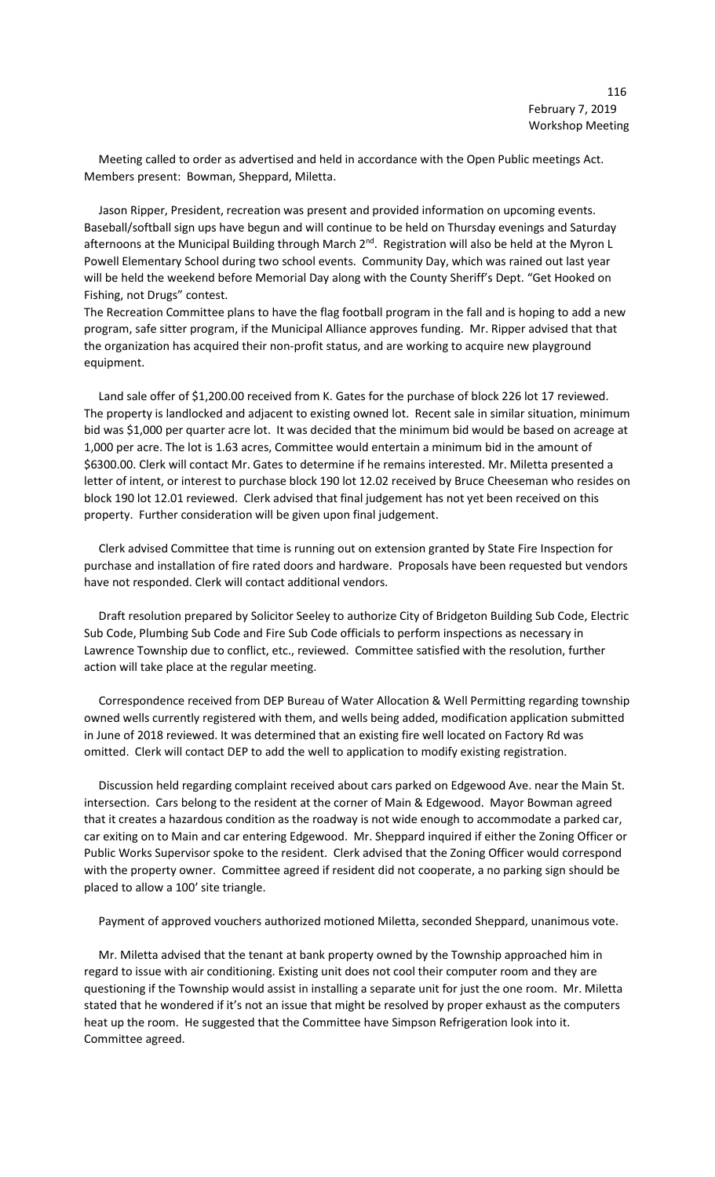Meeting called to order as advertised and held in accordance with the Open Public meetings Act. Members present: Bowman, Sheppard, Miletta.

 Jason Ripper, President, recreation was present and provided information on upcoming events. Baseball/softball sign ups have begun and will continue to be held on Thursday evenings and Saturday afternoons at the Municipal Building through March 2<sup>nd</sup>. Registration will also be held at the Myron L Powell Elementary School during two school events. Community Day, which was rained out last year will be held the weekend before Memorial Day along with the County Sheriff's Dept. "Get Hooked on Fishing, not Drugs" contest.

The Recreation Committee plans to have the flag football program in the fall and is hoping to add a new program, safe sitter program, if the Municipal Alliance approves funding. Mr. Ripper advised that that the organization has acquired their non-profit status, and are working to acquire new playground equipment.

 Land sale offer of \$1,200.00 received from K. Gates for the purchase of block 226 lot 17 reviewed. The property is landlocked and adjacent to existing owned lot. Recent sale in similar situation, minimum bid was \$1,000 per quarter acre lot. It was decided that the minimum bid would be based on acreage at 1,000 per acre. The lot is 1.63 acres, Committee would entertain a minimum bid in the amount of \$6300.00. Clerk will contact Mr. Gates to determine if he remains interested. Mr. Miletta presented a letter of intent, or interest to purchase block 190 lot 12.02 received by Bruce Cheeseman who resides on block 190 lot 12.01 reviewed. Clerk advised that final judgement has not yet been received on this property. Further consideration will be given upon final judgement.

 Clerk advised Committee that time is running out on extension granted by State Fire Inspection for purchase and installation of fire rated doors and hardware. Proposals have been requested but vendors have not responded. Clerk will contact additional vendors.

 Draft resolution prepared by Solicitor Seeley to authorize City of Bridgeton Building Sub Code, Electric Sub Code, Plumbing Sub Code and Fire Sub Code officials to perform inspections as necessary in Lawrence Township due to conflict, etc., reviewed. Committee satisfied with the resolution, further action will take place at the regular meeting.

 Correspondence received from DEP Bureau of Water Allocation & Well Permitting regarding township owned wells currently registered with them, and wells being added, modification application submitted in June of 2018 reviewed. It was determined that an existing fire well located on Factory Rd was omitted. Clerk will contact DEP to add the well to application to modify existing registration.

 Discussion held regarding complaint received about cars parked on Edgewood Ave. near the Main St. intersection. Cars belong to the resident at the corner of Main & Edgewood. Mayor Bowman agreed that it creates a hazardous condition as the roadway is not wide enough to accommodate a parked car, car exiting on to Main and car entering Edgewood. Mr. Sheppard inquired if either the Zoning Officer or Public Works Supervisor spoke to the resident. Clerk advised that the Zoning Officer would correspond with the property owner. Committee agreed if resident did not cooperate, a no parking sign should be placed to allow a 100' site triangle.

Payment of approved vouchers authorized motioned Miletta, seconded Sheppard, unanimous vote.

 Mr. Miletta advised that the tenant at bank property owned by the Township approached him in regard to issue with air conditioning. Existing unit does not cool their computer room and they are questioning if the Township would assist in installing a separate unit for just the one room. Mr. Miletta stated that he wondered if it's not an issue that might be resolved by proper exhaust as the computers heat up the room. He suggested that the Committee have Simpson Refrigeration look into it. Committee agreed.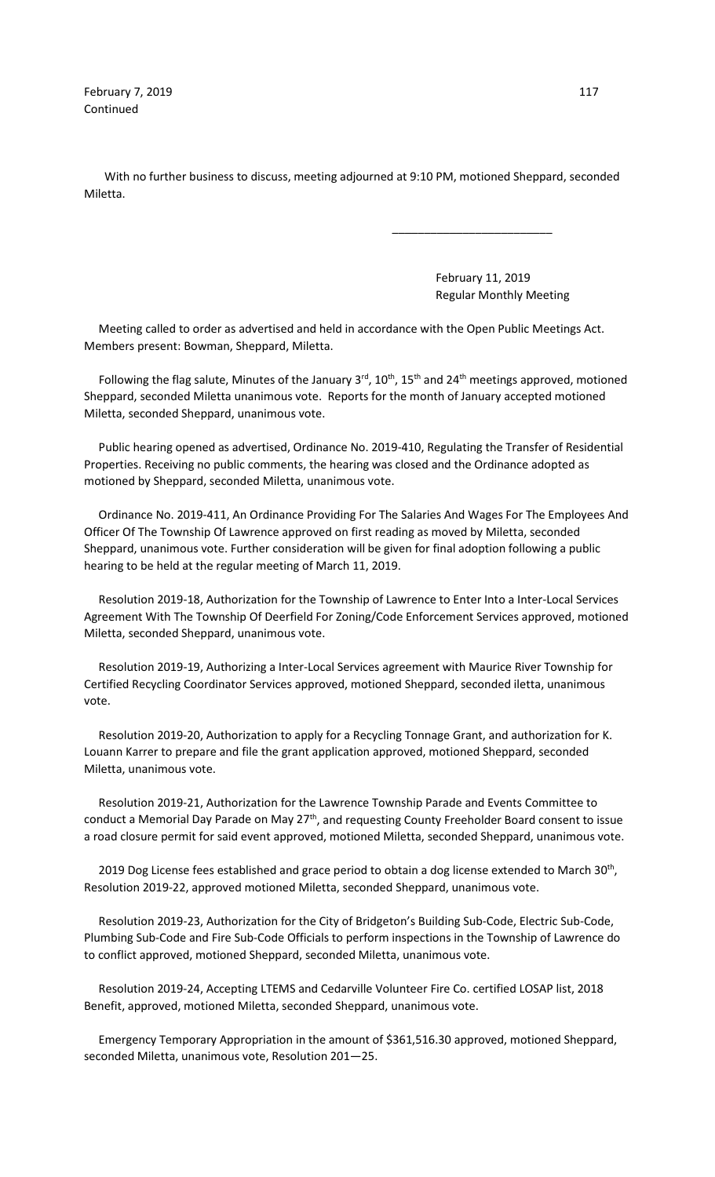**February 7, 2019** 117 Continued

 With no further business to discuss, meeting adjourned at 9:10 PM, motioned Sheppard, seconded Miletta.

 $\overline{\phantom{a}}$  , and the contract of the contract of the contract of the contract of the contract of the contract of the contract of the contract of the contract of the contract of the contract of the contract of the contrac

 February 11, 2019 Regular Monthly Meeting

 Meeting called to order as advertised and held in accordance with the Open Public Meetings Act. Members present: Bowman, Sheppard, Miletta.

Following the flag salute, Minutes of the January  $3^{rd}$ ,  $10^{th}$ ,  $15^{th}$  and  $24^{th}$  meetings approved, motioned Sheppard, seconded Miletta unanimous vote. Reports for the month of January accepted motioned Miletta, seconded Sheppard, unanimous vote.

 Public hearing opened as advertised, Ordinance No. 2019-410, Regulating the Transfer of Residential Properties. Receiving no public comments, the hearing was closed and the Ordinance adopted as motioned by Sheppard, seconded Miletta, unanimous vote.

 Ordinance No. 2019-411, An Ordinance Providing For The Salaries And Wages For The Employees And Officer Of The Township Of Lawrence approved on first reading as moved by Miletta, seconded Sheppard, unanimous vote. Further consideration will be given for final adoption following a public hearing to be held at the regular meeting of March 11, 2019.

 Resolution 2019-18, Authorization for the Township of Lawrence to Enter Into a Inter-Local Services Agreement With The Township Of Deerfield For Zoning/Code Enforcement Services approved, motioned Miletta, seconded Sheppard, unanimous vote.

 Resolution 2019-19, Authorizing a Inter-Local Services agreement with Maurice River Township for Certified Recycling Coordinator Services approved, motioned Sheppard, seconded iletta, unanimous vote.

 Resolution 2019-20, Authorization to apply for a Recycling Tonnage Grant, and authorization for K. Louann Karrer to prepare and file the grant application approved, motioned Sheppard, seconded Miletta, unanimous vote.

 Resolution 2019-21, Authorization for the Lawrence Township Parade and Events Committee to conduct a Memorial Day Parade on May 27<sup>th</sup>, and requesting County Freeholder Board consent to issue a road closure permit for said event approved, motioned Miletta, seconded Sheppard, unanimous vote.

2019 Dog License fees established and grace period to obtain a dog license extended to March 30<sup>th</sup>, Resolution 2019-22, approved motioned Miletta, seconded Sheppard, unanimous vote.

 Resolution 2019-23, Authorization for the City of Bridgeton's Building Sub-Code, Electric Sub-Code, Plumbing Sub-Code and Fire Sub-Code Officials to perform inspections in the Township of Lawrence do to conflict approved, motioned Sheppard, seconded Miletta, unanimous vote.

 Resolution 2019-24, Accepting LTEMS and Cedarville Volunteer Fire Co. certified LOSAP list, 2018 Benefit, approved, motioned Miletta, seconded Sheppard, unanimous vote.

 Emergency Temporary Appropriation in the amount of \$361,516.30 approved, motioned Sheppard, seconded Miletta, unanimous vote, Resolution 201—25.